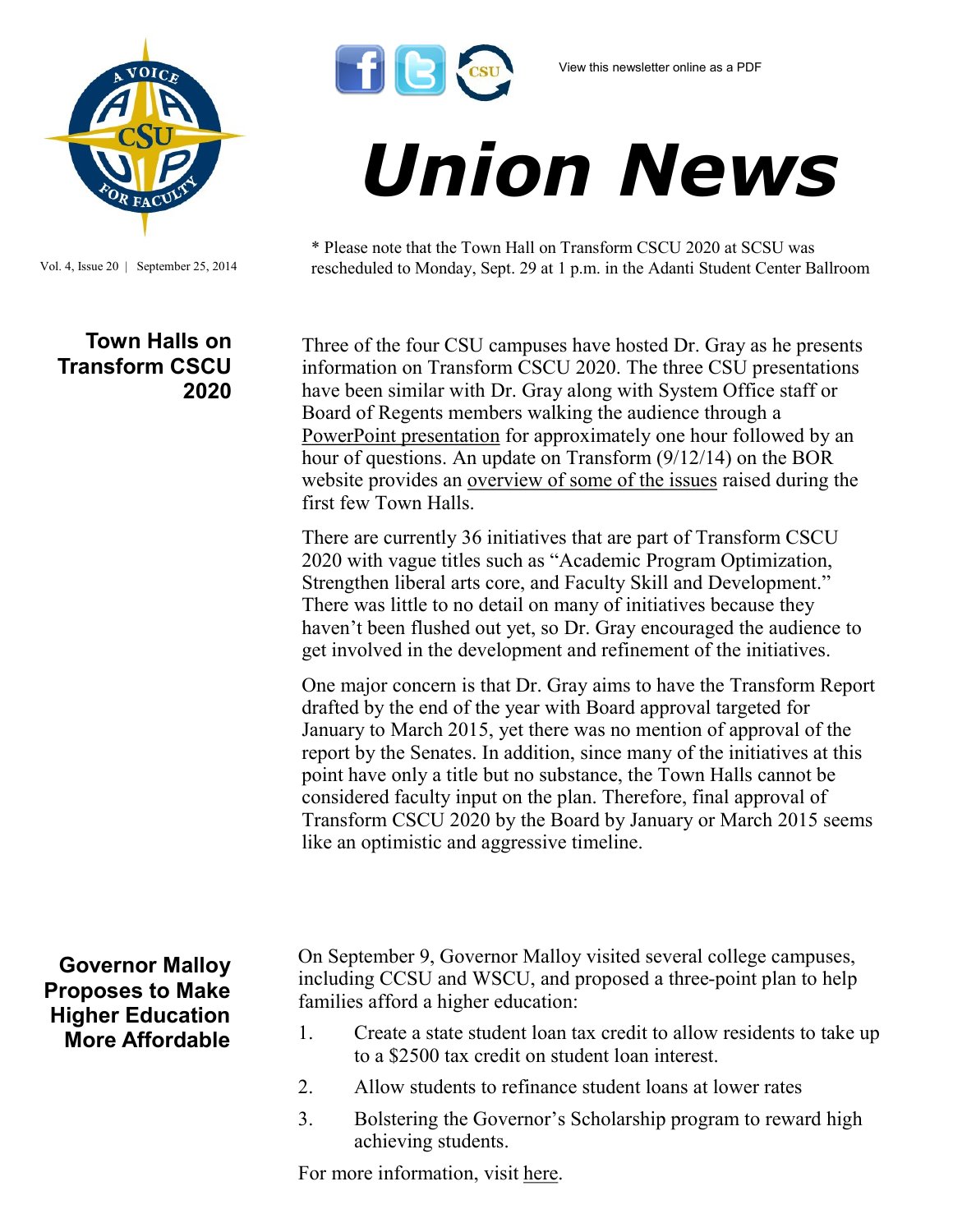

Vol. 4, Issue 20 | September 25, 2014

## **Town Halls on Transform CSCU 2020**

## *Union News*

\* Please note that the Town Hall on Transform CSCU 2020 at SCSU was rescheduled to Monday, Sept. 29 at 1 p.m. in the Adanti Student Center Ballroom

Three of the four CSU campuses have hosted Dr. Gray as he presents information on Transform CSCU 2020. The three CSU presentations have been similar with Dr. Gray along with System Office staff or Board of Regents members walking the audience through a [PowerPoint presentation](http://www.ct.edu/files/pdfs/transform-town-hall-Eastern.pdf) for approximately one hour followed by an hour of questions. An update on Transform (9/12/14) on the BOR website provides an [overview of some of the issues](http://www.ct.edu/files/update/transform-Sept-12-2014.html) raised during the first few Town Halls.

There are currently 36 initiatives that are part of Transform CSCU 2020 with vague titles such as "Academic Program Optimization, Strengthen liberal arts core, and Faculty Skill and Development." There was little to no detail on many of initiatives because they haven't been flushed out yet, so Dr. Gray encouraged the audience to get involved in the development and refinement of the initiatives.

One major concern is that Dr. Gray aims to have the Transform Report drafted by the end of the year with Board approval targeted for January to March 2015, yet there was no mention of approval of the report by the Senates. In addition, since many of the initiatives at this point have only a title but no substance, the Town Halls cannot be considered faculty input on the plan. Therefore, final approval of Transform CSCU 2020 by the Board by January or March 2015 seems like an optimistic and aggressive timeline.

**Governor Malloy Proposes to Make Higher Education More Affordable** On September 9, Governor Malloy visited several college campuses, including CCSU and WSCU, and proposed a three-point plan to help families afford a higher education:

- 1. Create a state student loan tax credit to allow residents to take up to a \$2500 tax credit on student loan interest.
- 2. Allow students to refinance student loans at lower rates
- 3. Bolstering the Governor's Scholarship program to reward high achieving students.

For more information, visit [here.](http://act.danmalloy2014.com/page/content/education)